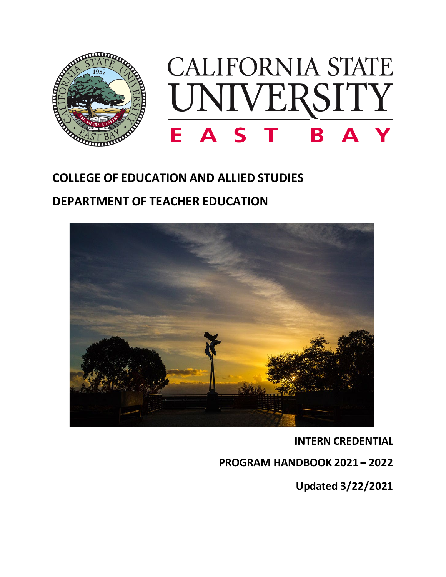

# **COLLEGE OF EDUCATION AND ALLIED STUDIES DEPARTMENT OF TEACHER EDUCATION**



**INTERN CREDENTIAL** 

**PROGRAM HANDBOOK 2021 – 2022**

**Updated 3/22/2021**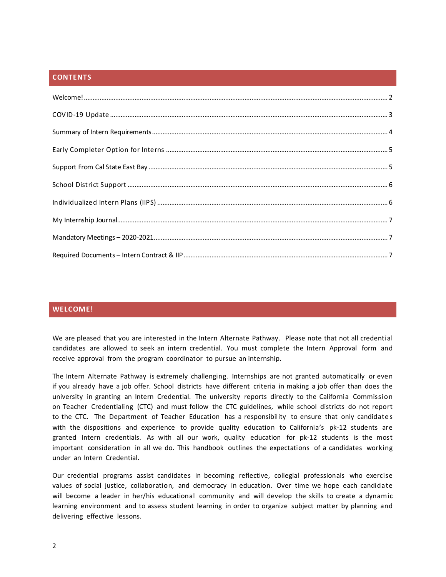# **CONTENTS**

# <span id="page-1-0"></span>**WELCOME!**

We are pleased that you are interested in the Intern Alternate Pathway. Please note that not all credential candidates are allowed to seek an intern credential. You must complete the Intern Approval form and receive approval from the program coordinator to pursue an internship.

The Intern Alternate Pathway is extremely challenging. Internships are not granted automatically or even if you already have a job offer. School districts have different criteria in making a job offer than does the university in granting an Intern Credential. The university reports directly to the California Commission on Teacher Credentialing (CTC) and must follow the CTC guidelines, while school districts do not report to the CTC. The Department of Teacher Education has a responsibility to ensure that only candidates with the dispositions and experience to provide quality education to California's pk-12 students are granted Intern credentials. As with all our work, quality education for pk-12 students is the most important consideration in all we do. This handbook outlines the expectations of a candidates working under an Intern Credential.

Our credential programs assist candidates in becoming reflective, collegial professionals who exercise values of social justice, collaboration, and democracy in education. Over time we hope each candidate will become a leader in her/his educational community and will develop the skills to create a dynamic learning environment and to assess student learning in order to organize subject matter by planning and delivering effective lessons.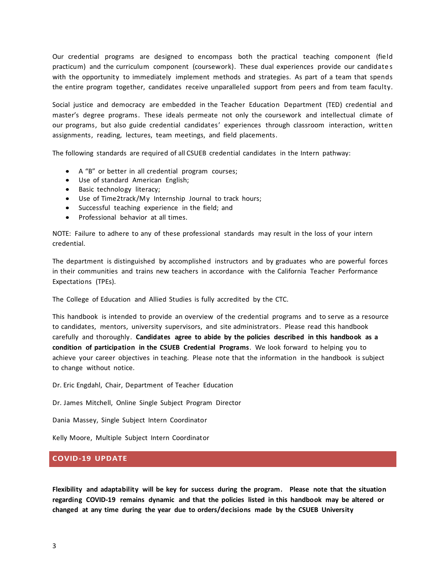Our credential programs are designed to encompass both the practical teaching component (field practicum) and the curriculum component (coursework). These dual experiences provide our candidates with the opportunity to immediately implement methods and strategies. As part of a team that spends the entire program together, candidates receive unparalleled support from peers and from team faculty.

Social justice and democracy are embedded in the Teacher Education Department (TED) credential and master's degree programs. These ideals permeate not only the coursework and intellectual climate of our programs, but also guide credential candidates' experiences through classroom interaction, written assignments, reading, lectures, team meetings, and field placements.

The following standards are required of all CSUEB credential candidates in the Intern pathway:

- A "B" or better in all credential program courses;
- Use of standard American English;
- Basic technology literacy;
- Use of Time2track/My Internship Journal to track hours;
- Successful teaching experience in the field; and
- Professional behavior at all times.

NOTE: Failure to adhere to any of these professional standards may result in the loss of your intern credential.

The department is distinguished by accomplished instructors and by graduates who are powerful forces in their communities and trains new teachers in accordance with the California Teacher Performance Expectations (TPEs).

The College of Education and Allied Studies is fully accredited by the CTC.

This handbook is intended to provide an overview of the credential programs and to serve as a resource to candidates, mentors, university supervisors, and site administrators. Please read this handbook carefully and thoroughly. **Candidates agree to abide by the policies described in this handbook as a condition of participation in the CSUEB Credential Programs**. We look forward to helping you to achieve your career objectives in teaching. Please note that the information in the handbook is subject to change without notice.

Dr. Eric Engdahl, Chair, Department of Teacher Education

Dr. James Mitchell, Online Single Subject Program Director

Dania Massey, Single Subject Intern Coordinator

Kelly Moore, Multiple Subject Intern Coordinator

## <span id="page-2-0"></span>**COVID-19 UPDATE**

**Flexibility and adaptability will be key for success during the program. Please note that the situation regarding COVID-19 remains dynamic and that the policies listed in this handbook may be altered or changed at any time during the year due to orders/decisions made by the CSUEB University**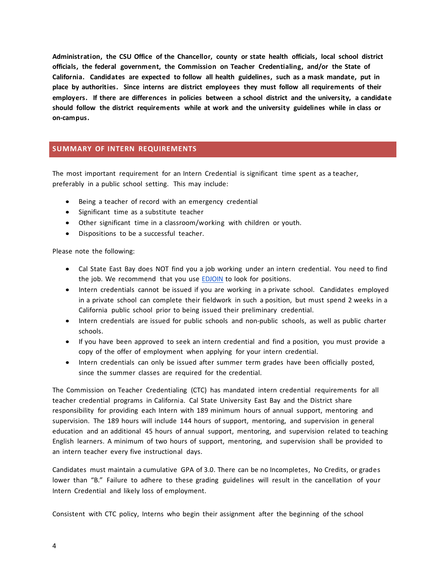**Administration, the CSU Office of the Chancellor, county or state health officials, local school district officials, the federal government, the Commission on Teacher Credentialing, and/or the State of California. Candidates are expected to follow all health guidelines, such as a mask mandate, put in place by authorities. Since interns are district employees they must follow all requirements of their employers. If there are differences in policies between a school district and the university, a candidate should follow the district requirements while at work and the university guidelines while in class or on-campus.** 

# <span id="page-3-0"></span>**SUMMARY OF INTERN REQUIREMENTS**

The most important requirement for an Intern Credential is significant time spent as a teacher, preferably in a public school setting. This may include:

- Being a teacher of record with an emergency credential
- Significant time as a substitute teacher
- Other significant time in a classroom/working with children or youth.
- Dispositions to be a successful teacher.

Please note the following:

- Cal State East Bay does NOT find you a job working under an intern credential. You need to find the job. We recommend that you use **EDJOIN** to look for positions.
- Intern credentials cannot be issued if you are working in a private school. Candidates employed in a private school can complete their fieldwork in such a position, but must spend 2 weeks in a California public school prior to being issued their preliminary credential.
- Intern credentials are issued for public schools and non-public schools, as well as public charter schools.
- If you have been approved to seek an intern credential and find a position, you must provide a copy of the offer of employment when applying for your intern credential.
- Intern credentials can only be issued after summer term grades have been officially posted, since the summer classes are required for the credential.

The Commission on Teacher Credentialing (CTC) has mandated intern credential requirements for all teacher credential programs in California. Cal State University East Bay and the District share responsibility for providing each Intern with 189 minimum hours of annual support, mentoring and supervision. The 189 hours will include 144 hours of support, mentoring, and supervision in general education and an additional 45 hours of annual support, mentoring, and supervision related to teaching English learners. A minimum of two hours of support, mentoring, and supervision shall be provided to an intern teacher every five instructional days.

Candidates must maintain a cumulative GPA of 3.0. There can be no Incompletes, No Credits, or grades lower than "B." Failure to adhere to these grading guidelines will result in the cancellation of your Intern Credential and likely loss of employment.

Consistent with CTC policy, Interns who begin their assignment after the beginning of the school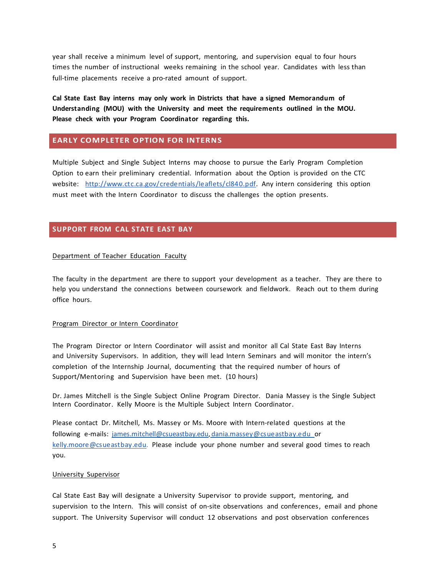year shall receive a minimum level of support, mentoring, and supervision equal to four hours times the number of instructional weeks remaining in the school year. Candidates with less than full-time placements receive a pro-rated amount of support.

**Cal State East Bay interns may only work in Districts that have a signed Memorandum of Understanding (MOU) with the University and meet the requirements outlined in the MOU. Please check with your Program Coordinator regarding this.**

## <span id="page-4-0"></span>**EARLY COMPLETER OPTION FOR INTERNS**

Multiple Subject and Single Subject Interns may choose to pursue the Early Program Completion Option to earn their preliminary credential. Information about the Option is provided on the CTC website: [http://www.ctc.ca.gov/credentials/leaflets/cl840.pdf.](http://www.ctc.ca.gov/credentials/leaflets/cl840.pdf) Any intern considering this option must meet with the Intern Coordinator to discuss the challenges the option presents.

# <span id="page-4-1"></span>**SUPPORT FROM CAL STATE EAST BAY**

## Department of Teacher Education Faculty

The faculty in the department are there to support your development as a teacher. They are there to help you understand the connections between coursework and fieldwork. Reach out to them during office hours.

## Program Director or Intern Coordinator

The Program Director or Intern Coordinator will assist and monitor all Cal State East Bay Interns and University Supervisors. In addition, they will lead Intern Seminars and will monitor the intern's completion of the Internship Journal, documenting that the required number of hours of Support/Mentoring and Supervision have been met. (10 hours)

Dr. James Mitchell is the Single Subject Online Program Director. Dania Massey is the Single Subject Intern Coordinator. Kelly Moore is the Multiple Subject Intern Coordinator.

Please contact Dr. Mitchell, Ms. Massey or Ms. Moore with Intern-related questions at the following e-mails: [james.mitchell@csueastbay.edu,](mailto:james.mitchell@csueastbay.edu) [dania.massey@csueastbay.edu o](mailto:dania.massey@csueastbay.edu)r [kelly.moore@csueastbay.edu.](mailto:kelly.moore@csueastbay.edu.) Please include your phone number and several good times to reach you.

#### University Supervisor

Cal State East Bay will designate a University Supervisor to provide support, mentoring, and supervision to the Intern. This will consist of on-site observations and conferences, email and phone support. The University Supervisor will conduct 12 observations and post observation conferences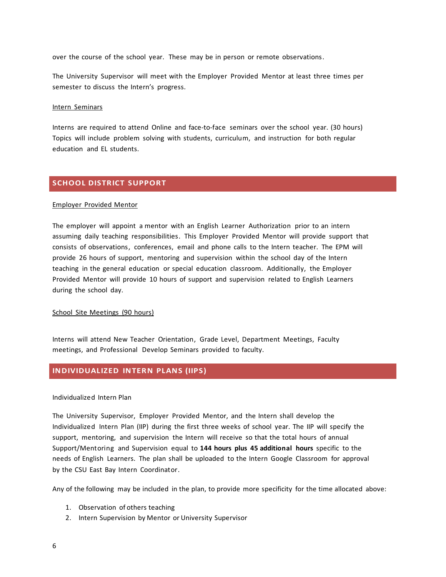over the course of the school year. These may be in person or remote observations.

The University Supervisor will meet with the Employer Provided Mentor at least three times per semester to discuss the Intern's progress.

#### Intern Seminars

Interns are required to attend Online and face-to-face seminars over the school year. (30 hours) Topics will include problem solving with students, curriculum, and instruction for both regular education and EL students.

# <span id="page-5-0"></span>**SCHOOL DISTRICT SUPPORT**

#### Employer Provided Mentor

The employer will appoint a mentor with an English Learner Authorization prior to an intern assuming daily teaching responsibilities. This Employer Provided Mentor will provide support that consists of observations, conferences, email and phone calls to the Intern teacher. The EPM will provide 26 hours of support, mentoring and supervision within the school day of the Intern teaching in the general education or special education classroom. Additionally, the Employer Provided Mentor will provide 10 hours of support and supervision related to English Learners during the school day.

#### School Site Meetings (90 hours)

Interns will attend New Teacher Orientation, Grade Level, Department Meetings, Faculty meetings, and Professional Develop Seminars provided to faculty.

## <span id="page-5-1"></span>**INDIVIDUALIZED INTERN PLANS (IIPS)**

#### Individualized Intern Plan

The University Supervisor, Employer Provided Mentor, and the Intern shall develop the Individualized Intern Plan (IIP) during the first three weeks of school year. The IIP will specify the support, mentoring, and supervision the Intern will receive so that the total hours of annual Support/Mentoring and Supervision equal to **144 hours plus 45 additional hours** specific to the needs of English Learners. The plan shall be uploaded to the Intern Google Classroom for approval by the CSU East Bay Intern Coordinator.

Any of the following may be included in the plan, to provide more specificity for the time allocated above:

- 1. Observation of others teaching
- 2. Intern Supervision by Mentor or University Supervisor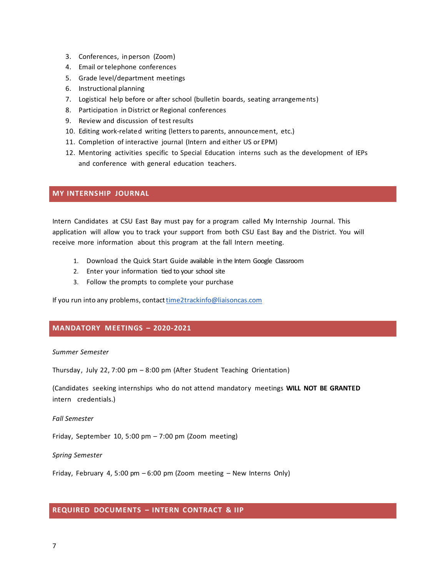- 3. Conferences, inperson (Zoom)
- 4. Email or telephone conferences
- 5. Grade level/department meetings
- 6. Instructional planning
- 7. Logistical help before or after school (bulletin boards, seating arrangements)
- 8. Participation in District or Regional conferences
- 9. Review and discussion of test results
- 10. Editing work-related writing (letters to parents, announcement, etc.)
- 11. Completion of interactive journal (Intern and either US or EPM)
- 12. Mentoring activities specific to Special Education interns such as the development of IEPs and conference with general education teachers.

# <span id="page-6-0"></span>**MY INTERNSHIP JOURNAL**

Intern Candidates at CSU East Bay must pay for a program called My Internship Journal. This application will allow you to track your support from both CSU East Bay and the District. You will receive more information about this program at the fall Intern meeting.

- 1. Download the Quick Start Guide available in the Intern Google Classroom
- 2. Enter your information tied to your school site
- 3. Follow the prompts to complete your purchase

If you run into any problems, contact time2trackinfo@liaisoncas.com

# <span id="page-6-1"></span>**MANDATORY MEETINGS – 2020-2021**

#### *Summer Semester*

Thursday, July 22, 7:00 pm – 8:00 pm (After Student Teaching Orientation)

(Candidates seeking internships who do not attend mandatory meetings **WILL NOT BE GRANTED** intern credentials.)

#### *Fall Semester*

Friday, September 10, 5:00 pm – 7:00 pm (Zoom meeting)

#### *Spring Semester*

Friday, February 4, 5:00 pm – 6:00 pm (Zoom meeting – New Interns Only)

# <span id="page-6-2"></span>**REQUIRED DOCUMENTS – INTERN CONTRACT & IIP**